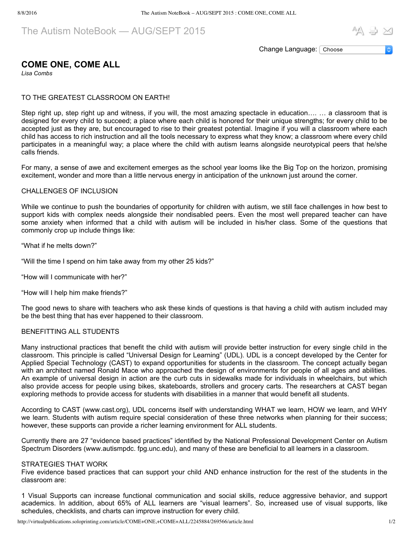The Autism NoteBook — AUG/SEPT 2015

区 信 AA

Change Language: Choose

# **COME ONE, COME ALL**

*Lisa Combs*

## TO THE GREATEST CLASSROOM ON EARTH!

Step right up, step right up and witness, if you will, the most amazing spectacle in education…. … a classroom that is designed for every child to succeed; a place where each child is honored for their unique strengths; for every child to be accepted just as they are, but encouraged to rise to their greatest potential. Imagine if you will a classroom where each child has access to rich instruction and all the tools necessary to express what they know; a classroom where every child participates in a meaningful way; a place where the child with autism learns alongside neurotypical peers that he/she calls friends.

For many, a sense of awe and excitement emerges as the school year looms like the Big Top on the horizon, promising excitement, wonder and more than a little nervous energy in anticipation of the unknown just around the corner.

### CHALLENGES OF INCLUSION

While we continue to push the boundaries of opportunity for children with autism, we still face challenges in how best to support kids with complex needs alongside their nondisabled peers. Even the most well prepared teacher can have some anxiety when informed that a child with autism will be included in his/her class. Some of the questions that commonly crop up include things like:

"What if he melts down?"

"Will the time I spend on him take away from my other 25 kids?"

"How will I communicate with her?"

"How will I help him make friends?"

The good news to share with teachers who ask these kinds of questions is that having a child with autism included may be the best thing that has ever happened to their classroom.

### BENEFITTING ALL STUDENTS

Many instructional practices that benefit the child with autism will provide better instruction for every single child in the classroom. This principle is called "Universal Design for Learning" (UDL). UDL is a concept developed by the Center for Applied Special Technology (CAST) to expand opportunities for students in the classroom. The concept actually began with an architect named Ronald Mace who approached the design of environments for people of all ages and abilities. An example of universal design in action are the curb cuts in sidewalks made for individuals in wheelchairs, but which also provide access for people using bikes, skateboards, strollers and grocery carts. The researchers at CAST began exploring methods to provide access for students with disabilities in a manner that would benefit all students.

According to CAST (www.cast.org), UDL concerns itself with understanding WHAT we learn, HOW we learn, and WHY we learn. Students with autism require special consideration of these three networks when planning for their success; however, these supports can provide a richer learning environment for ALL students.

Currently there are 27 "evidence based practices" identified by the National Professional Development Center on Autism Spectrum Disorders (www.autismpdc. fpg.unc.edu), and many of these are beneficial to all learners in a classroom.

### STRATEGIES THAT WORK

Five evidence based practices that can support your child AND enhance instruction for the rest of the students in the classroom are:

1 Visual Supports can increase functional communication and social skills, reduce aggressive behavior, and support academics. In addition, about 65% of ALL learners are "visual learners". So, increased use of visual supports, like schedules, checklists, and charts can improve instruction for every child.